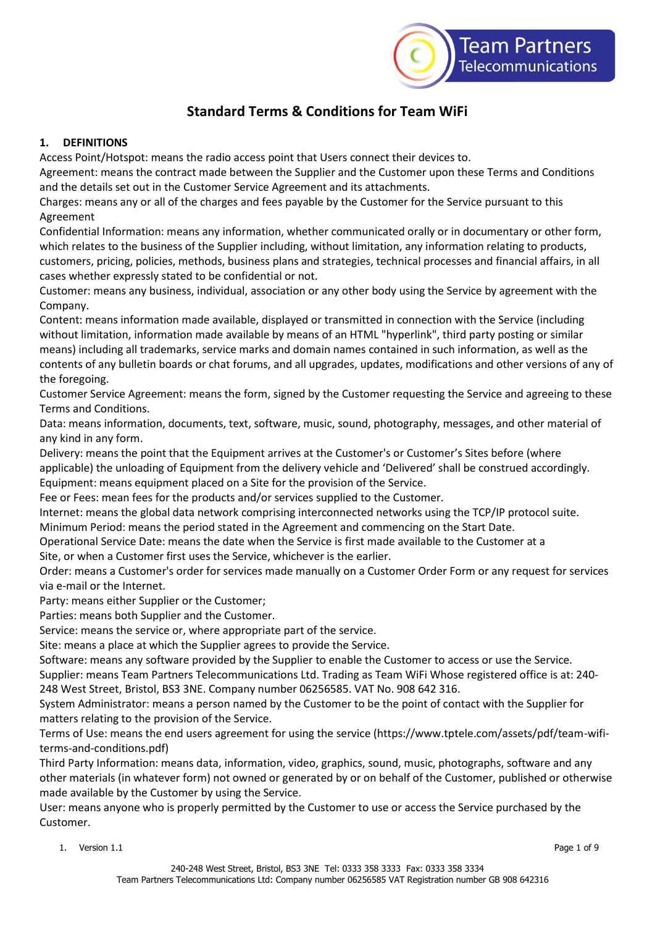

# **Standard Terms & Conditions for Team WiFi**

## **1. DEFINITIONS**

Access Point/Hotspot: means the radio access point that Users connect their devices to.

Agreement: means the contract made between the Supplier and the Customer upon these Terms and Conditions and the details set out in the Customer Service Agreement and its attachments.

Charges: means any or all of the charges and fees payable by the Customer for the Service pursuant to this Agreement

Confidential Information: means any information, whether communicated orally or in documentary or other form, which relates to the business of the Supplier including, without limitation, any information relating to products, customers, pricing, policies, methods, business plans and strategies, technical processes and financial affairs, in all cases whether expressly stated to be confidential or not.

Customer: means any business, individual, association or any other body using the Service by agreement with the Company.

Content: means information made available, displayed or transmitted in connection with the Service (including without limitation, information made available by means of an HTML "hyperlink", third party posting or similar means) including all trademarks, service marks and domain names contained in such information, as well as the contents of any bulletin boards or chat forums, and all upgrades, updates, modifications and other versions of any of the foregoing.

Customer Service Agreement: means the form, signed by the Customer requesting the Service and agreeing to these Terms and Conditions.

Data: means information, documents, text, software, music, sound, photography, messages, and other material of any kind in any form.

Delivery: means the point that the Equipment arrives at the Customer's or Customer's Sites before (where applicable) the unloading of Equipment from the delivery vehicle and 'Delivered' shall be construed accordingly. Equipment: means equipment placed on a Site for the provision of the Service.

Fee or Fees: mean fees for the products and/or services supplied to the Customer.

Internet: means the global data network comprising interconnected networks using the TCP/IP protocol suite.

Minimum Period: means the period stated in the Agreement and commencing on the Start Date.

Operational Service Date: means the date when the Service is first made available to the Customer at a

Site, or when a Customer first uses the Service, whichever is the earlier.

Order: means a Customer's order for services made manually on a Customer Order Form or any request for services via e-mail or the Internet.

Party: means either Supplier or the Customer;

Parties: means both Supplier and the Customer.

Service: means the service or, where appropriate part of the service.

Site: means a place at which the Supplier agrees to provide the Service.

Software: means any software provided by the Supplier to enable the Customer to access or use the Service.

Supplier: means Team Partners Telecommunications Ltd. Trading as Team WiFi Whose registered office is at: 240- 248 West Street, Bristol, BS3 3NE. Company number 06256585. VAT No. 908 642 316.

System Administrator: means a person named by the Customer to be the point of contact with the Supplier for matters relating to the provision of the Service.

Terms of Use: means the end users agreement for using the service (https://www.tptele.com/assets/pdf/team-wifiterms-and-conditions.pdf)

Third Party Information: means data, information, video, graphics, sound, music, photographs, software and any other materials (in whatever form) not owned or generated by or on behalf of the Customer, published or otherwise made available by the Customer by using the Service.

User: means anyone who is properly permitted by the Customer to use or access the Service purchased by the Customer.

1. Version 1.1 Page 1 of 9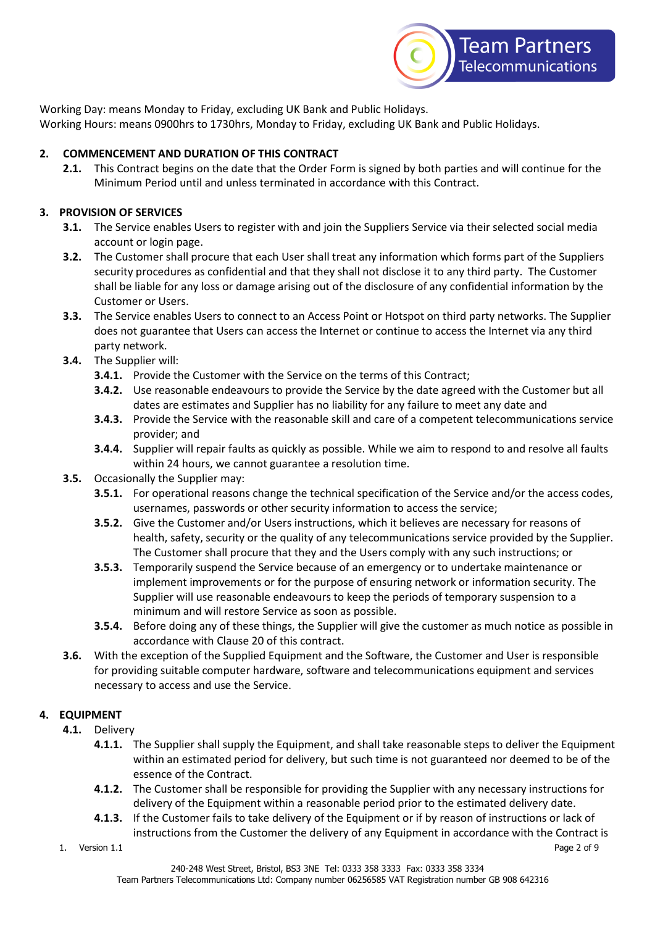

Working Day: means Monday to Friday, excluding UK Bank and Public Holidays. Working Hours: means 0900hrs to 1730hrs, Monday to Friday, excluding UK Bank and Public Holidays.

# **2. COMMENCEMENT AND DURATION OF THIS CONTRACT**

**2.1.** This Contract begins on the date that the Order Form is signed by both parties and will continue for the Minimum Period until and unless terminated in accordance with this Contract.

## **3. PROVISION OF SERVICES**

- **3.1.** The Service enables Users to register with and join the Suppliers Service via their selected social media account or login page.
- **3.2.** The Customer shall procure that each User shall treat any information which forms part of the Suppliers security procedures as confidential and that they shall not disclose it to any third party. The Customer shall be liable for any loss or damage arising out of the disclosure of any confidential information by the Customer or Users.
- **3.3.** The Service enables Users to connect to an Access Point or Hotspot on third party networks. The Supplier does not guarantee that Users can access the Internet or continue to access the Internet via any third party network.
- **3.4.** The Supplier will:
	- **3.4.1.** Provide the Customer with the Service on the terms of this Contract;
	- **3.4.2.** Use reasonable endeavours to provide the Service by the date agreed with the Customer but all dates are estimates and Supplier has no liability for any failure to meet any date and
	- **3.4.3.** Provide the Service with the reasonable skill and care of a competent telecommunications service provider; and
	- **3.4.4.** Supplier will repair faults as quickly as possible. While we aim to respond to and resolve all faults within 24 hours, we cannot guarantee a resolution time.
- **3.5.** Occasionally the Supplier may:
	- **3.5.1.** For operational reasons change the technical specification of the Service and/or the access codes, usernames, passwords or other security information to access the service;
	- **3.5.2.** Give the Customer and/or Users instructions, which it believes are necessary for reasons of health, safety, security or the quality of any telecommunications service provided by the Supplier. The Customer shall procure that they and the Users comply with any such instructions; or
	- **3.5.3.** Temporarily suspend the Service because of an emergency or to undertake maintenance or implement improvements or for the purpose of ensuring network or information security. The Supplier will use reasonable endeavours to keep the periods of temporary suspension to a minimum and will restore Service as soon as possible.
	- **3.5.4.** Before doing any of these things, the Supplier will give the customer as much notice as possible in accordance with Clause 20 of this contract.
- **3.6.** With the exception of the Supplied Equipment and the Software, the Customer and User is responsible for providing suitable computer hardware, software and telecommunications equipment and services necessary to access and use the Service.

#### **4. EQUIPMENT**

- **4.1.** Delivery
	- **4.1.1.** The Supplier shall supply the Equipment, and shall take reasonable steps to deliver the Equipment within an estimated period for delivery, but such time is not guaranteed nor deemed to be of the essence of the Contract.
	- **4.1.2.** The Customer shall be responsible for providing the Supplier with any necessary instructions for delivery of the Equipment within a reasonable period prior to the estimated delivery date.
	- **4.1.3.** If the Customer fails to take delivery of the Equipment or if by reason of instructions or lack of instructions from the Customer the delivery of any Equipment in accordance with the Contract is
- 1. Version 1.1 Page 2 of 9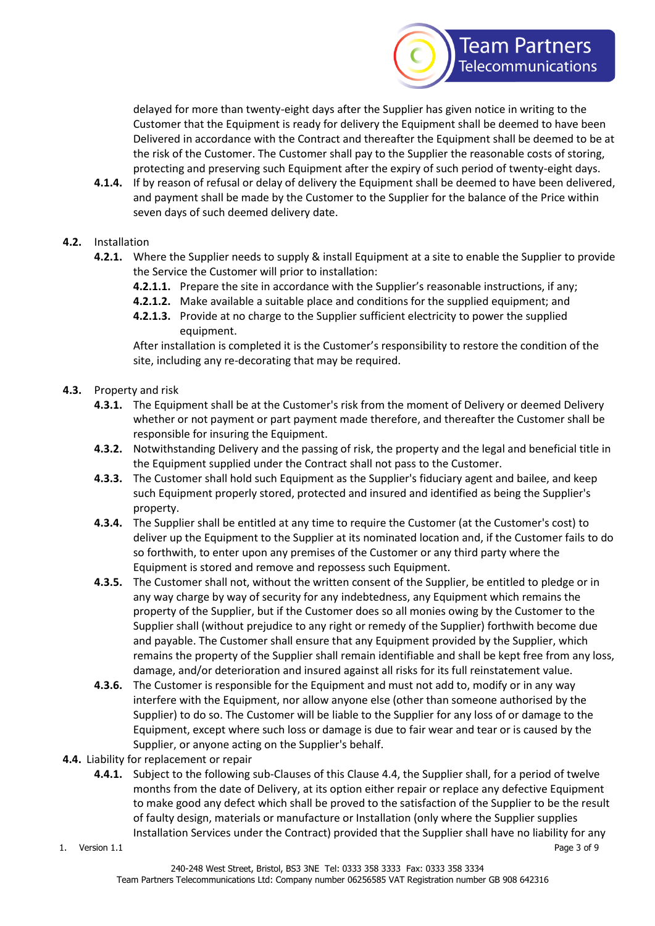

delayed for more than twenty-eight days after the Supplier has given notice in writing to the Customer that the Equipment is ready for delivery the Equipment shall be deemed to have been Delivered in accordance with the Contract and thereafter the Equipment shall be deemed to be at the risk of the Customer. The Customer shall pay to the Supplier the reasonable costs of storing, protecting and preserving such Equipment after the expiry of such period of twenty-eight days.

- **4.1.4.** If by reason of refusal or delay of delivery the Equipment shall be deemed to have been delivered, and payment shall be made by the Customer to the Supplier for the balance of the Price within seven days of such deemed delivery date.
- **4.2.** Installation
	- **4.2.1.** Where the Supplier needs to supply & install Equipment at a site to enable the Supplier to provide the Service the Customer will prior to installation:
		- **4.2.1.1.** Prepare the site in accordance with the Supplier's reasonable instructions, if any;
		- **4.2.1.2.** Make available a suitable place and conditions for the supplied equipment; and
		- **4.2.1.3.** Provide at no charge to the Supplier sufficient electricity to power the supplied equipment.

After installation is completed it is the Customer's responsibility to restore the condition of the site, including any re-decorating that may be required.

- **4.3.** Property and risk
	- **4.3.1.** The Equipment shall be at the Customer's risk from the moment of Delivery or deemed Delivery whether or not payment or part payment made therefore, and thereafter the Customer shall be responsible for insuring the Equipment.
	- **4.3.2.** Notwithstanding Delivery and the passing of risk, the property and the legal and beneficial title in the Equipment supplied under the Contract shall not pass to the Customer.
	- **4.3.3.** The Customer shall hold such Equipment as the Supplier's fiduciary agent and bailee, and keep such Equipment properly stored, protected and insured and identified as being the Supplier's property.
	- **4.3.4.** The Supplier shall be entitled at any time to require the Customer (at the Customer's cost) to deliver up the Equipment to the Supplier at its nominated location and, if the Customer fails to do so forthwith, to enter upon any premises of the Customer or any third party where the Equipment is stored and remove and repossess such Equipment.
	- **4.3.5.** The Customer shall not, without the written consent of the Supplier, be entitled to pledge or in any way charge by way of security for any indebtedness, any Equipment which remains the property of the Supplier, but if the Customer does so all monies owing by the Customer to the Supplier shall (without prejudice to any right or remedy of the Supplier) forthwith become due and payable. The Customer shall ensure that any Equipment provided by the Supplier, which remains the property of the Supplier shall remain identifiable and shall be kept free from any loss, damage, and/or deterioration and insured against all risks for its full reinstatement value.
	- **4.3.6.** The Customer is responsible for the Equipment and must not add to, modify or in any way interfere with the Equipment, nor allow anyone else (other than someone authorised by the Supplier) to do so. The Customer will be liable to the Supplier for any loss of or damage to the Equipment, except where such loss or damage is due to fair wear and tear or is caused by the Supplier, or anyone acting on the Supplier's behalf.
- **4.4.** Liability for replacement or repair
	- **4.4.1.** Subject to the following sub-Clauses of this Clause 4.4, the Supplier shall, for a period of twelve months from the date of Delivery, at its option either repair or replace any defective Equipment to make good any defect which shall be proved to the satisfaction of the Supplier to be the result of faulty design, materials or manufacture or Installation (only where the Supplier supplies Installation Services under the Contract) provided that the Supplier shall have no liability for any
- 1. Version 1.1 Page 3 of 9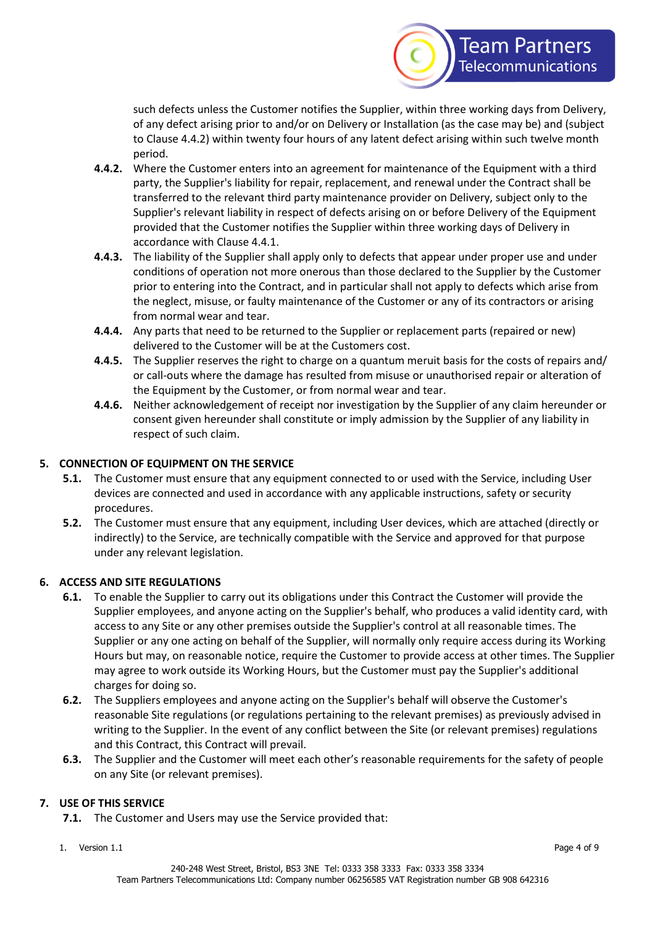

such defects unless the Customer notifies the Supplier, within three working days from Delivery, of any defect arising prior to and/or on Delivery or Installation (as the case may be) and (subject to Clause 4.4.2) within twenty four hours of any latent defect arising within such twelve month period.

- **4.4.2.** Where the Customer enters into an agreement for maintenance of the Equipment with a third party, the Supplier's liability for repair, replacement, and renewal under the Contract shall be transferred to the relevant third party maintenance provider on Delivery, subject only to the Supplier's relevant liability in respect of defects arising on or before Delivery of the Equipment provided that the Customer notifies the Supplier within three working days of Delivery in accordance with Clause 4.4.1.
- **4.4.3.** The liability of the Supplier shall apply only to defects that appear under proper use and under conditions of operation not more onerous than those declared to the Supplier by the Customer prior to entering into the Contract, and in particular shall not apply to defects which arise from the neglect, misuse, or faulty maintenance of the Customer or any of its contractors or arising from normal wear and tear.
- **4.4.4.** Any parts that need to be returned to the Supplier or replacement parts (repaired or new) delivered to the Customer will be at the Customers cost.
- **4.4.5.** The Supplier reserves the right to charge on a quantum meruit basis for the costs of repairs and/ or call-outs where the damage has resulted from misuse or unauthorised repair or alteration of the Equipment by the Customer, or from normal wear and tear.
- **4.4.6.** Neither acknowledgement of receipt nor investigation by the Supplier of any claim hereunder or consent given hereunder shall constitute or imply admission by the Supplier of any liability in respect of such claim.

# **5. CONNECTION OF EQUIPMENT ON THE SERVICE**

- **5.1.** The Customer must ensure that any equipment connected to or used with the Service, including User devices are connected and used in accordance with any applicable instructions, safety or security procedures.
- **5.2.** The Customer must ensure that any equipment, including User devices, which are attached (directly or indirectly) to the Service, are technically compatible with the Service and approved for that purpose under any relevant legislation.

# **6. ACCESS AND SITE REGULATIONS**

- **6.1.** To enable the Supplier to carry out its obligations under this Contract the Customer will provide the Supplier employees, and anyone acting on the Supplier's behalf, who produces a valid identity card, with access to any Site or any other premises outside the Supplier's control at all reasonable times. The Supplier or any one acting on behalf of the Supplier, will normally only require access during its Working Hours but may, on reasonable notice, require the Customer to provide access at other times. The Supplier may agree to work outside its Working Hours, but the Customer must pay the Supplier's additional charges for doing so.
- **6.2.** The Suppliers employees and anyone acting on the Supplier's behalf will observe the Customer's reasonable Site regulations (or regulations pertaining to the relevant premises) as previously advised in writing to the Supplier. In the event of any conflict between the Site (or relevant premises) regulations and this Contract, this Contract will prevail.
- **6.3.** The Supplier and the Customer will meet each other's reasonable requirements for the safety of people on any Site (or relevant premises).

# **7. USE OF THIS SERVICE**

- **7.1.** The Customer and Users may use the Service provided that:
- 1. Version 1.1 Page 4 of 9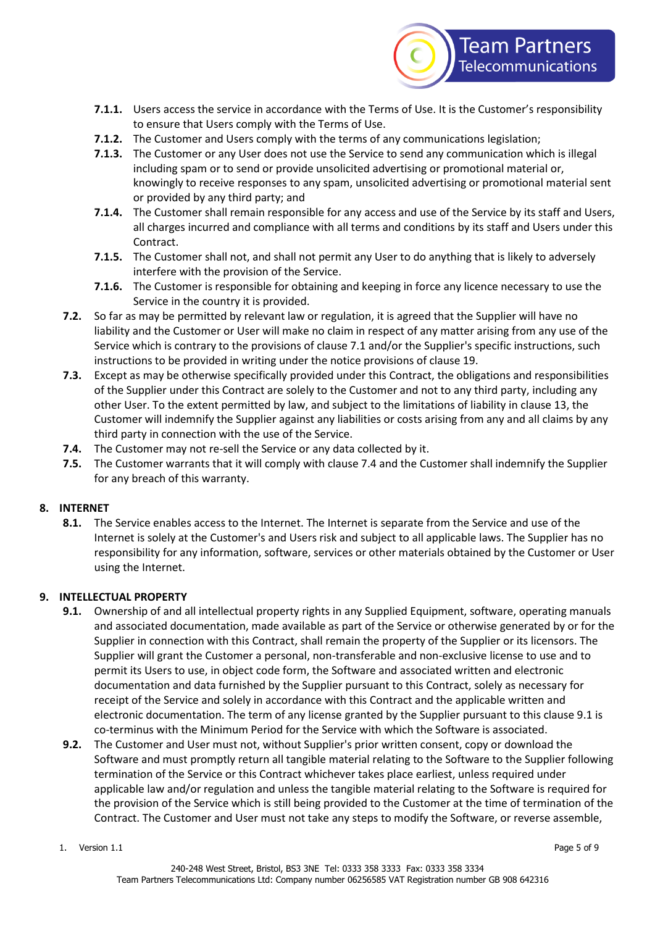

- **7.1.1.** Users access the service in accordance with the Terms of Use. It is the Customer's responsibility to ensure that Users comply with the Terms of Use.
- **7.1.2.** The Customer and Users comply with the terms of any communications legislation;
- **7.1.3.** The Customer or any User does not use the Service to send any communication which is illegal including spam or to send or provide unsolicited advertising or promotional material or, knowingly to receive responses to any spam, unsolicited advertising or promotional material sent or provided by any third party; and
- **7.1.4.** The Customer shall remain responsible for any access and use of the Service by its staff and Users, all charges incurred and compliance with all terms and conditions by its staff and Users under this Contract.
- **7.1.5.** The Customer shall not, and shall not permit any User to do anything that is likely to adversely interfere with the provision of the Service.
- **7.1.6.** The Customer is responsible for obtaining and keeping in force any licence necessary to use the Service in the country it is provided.
- **7.2.** So far as may be permitted by relevant law or regulation, it is agreed that the Supplier will have no liability and the Customer or User will make no claim in respect of any matter arising from any use of the Service which is contrary to the provisions of clause 7.1 and/or the Supplier's specific instructions, such instructions to be provided in writing under the notice provisions of clause 19.
- **7.3.** Except as may be otherwise specifically provided under this Contract, the obligations and responsibilities of the Supplier under this Contract are solely to the Customer and not to any third party, including any other User. To the extent permitted by law, and subject to the limitations of liability in clause 13, the Customer will indemnify the Supplier against any liabilities or costs arising from any and all claims by any third party in connection with the use of the Service.
- **7.4.** The Customer may not re-sell the Service or any data collected by it.
- **7.5.** The Customer warrants that it will comply with clause 7.4 and the Customer shall indemnify the Supplier for any breach of this warranty.

# **8. INTERNET**

**8.1.** The Service enables access to the Internet. The Internet is separate from the Service and use of the Internet is solely at the Customer's and Users risk and subject to all applicable laws. The Supplier has no responsibility for any information, software, services or other materials obtained by the Customer or User using the Internet.

# **9. INTELLECTUAL PROPERTY**

- **9.1.** Ownership of and all intellectual property rights in any Supplied Equipment, software, operating manuals and associated documentation, made available as part of the Service or otherwise generated by or for the Supplier in connection with this Contract, shall remain the property of the Supplier or its licensors. The Supplier will grant the Customer a personal, non-transferable and non-exclusive license to use and to permit its Users to use, in object code form, the Software and associated written and electronic documentation and data furnished by the Supplier pursuant to this Contract, solely as necessary for receipt of the Service and solely in accordance with this Contract and the applicable written and electronic documentation. The term of any license granted by the Supplier pursuant to this clause 9.1 is co-terminus with the Minimum Period for the Service with which the Software is associated.
- **9.2.** The Customer and User must not, without Supplier's prior written consent, copy or download the Software and must promptly return all tangible material relating to the Software to the Supplier following termination of the Service or this Contract whichever takes place earliest, unless required under applicable law and/or regulation and unless the tangible material relating to the Software is required for the provision of the Service which is still being provided to the Customer at the time of termination of the Contract. The Customer and User must not take any steps to modify the Software, or reverse assemble,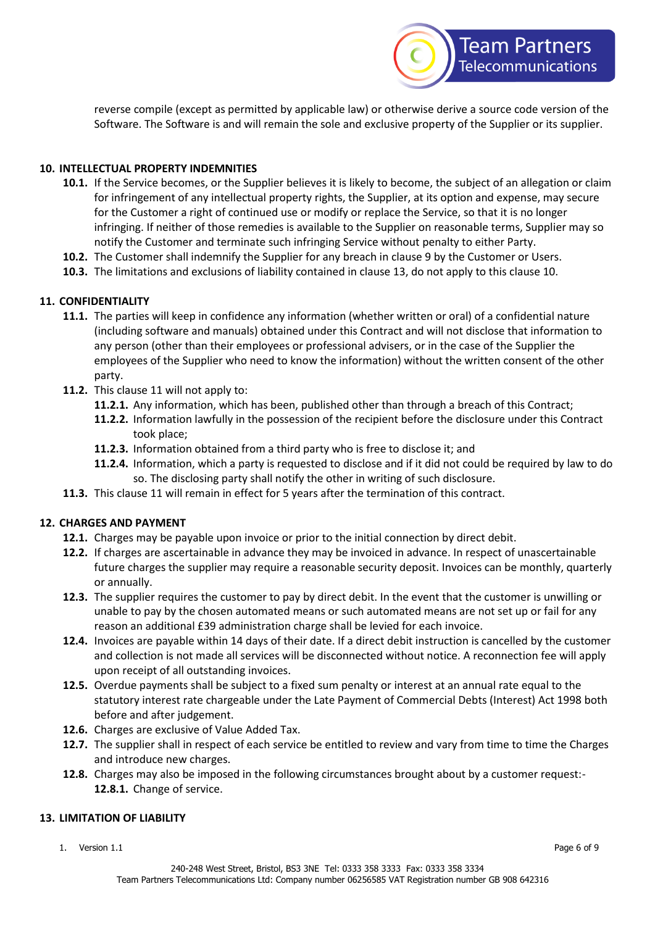

reverse compile (except as permitted by applicable law) or otherwise derive a source code version of the Software. The Software is and will remain the sole and exclusive property of the Supplier or its supplier.

## **10. INTELLECTUAL PROPERTY INDEMNITIES**

- **10.1.** If the Service becomes, or the Supplier believes it is likely to become, the subject of an allegation or claim for infringement of any intellectual property rights, the Supplier, at its option and expense, may secure for the Customer a right of continued use or modify or replace the Service, so that it is no longer infringing. If neither of those remedies is available to the Supplier on reasonable terms, Supplier may so notify the Customer and terminate such infringing Service without penalty to either Party.
- **10.2.** The Customer shall indemnify the Supplier for any breach in clause 9 by the Customer or Users.
- **10.3.** The limitations and exclusions of liability contained in clause 13, do not apply to this clause 10.

## **11. CONFIDENTIALITY**

- **11.1.** The parties will keep in confidence any information (whether written or oral) of a confidential nature (including software and manuals) obtained under this Contract and will not disclose that information to any person (other than their employees or professional advisers, or in the case of the Supplier the employees of the Supplier who need to know the information) without the written consent of the other party.
- **11.2.** This clause 11 will not apply to:
	- **11.2.1.** Any information, which has been, published other than through a breach of this Contract;
	- **11.2.2.** Information lawfully in the possession of the recipient before the disclosure under this Contract took place;
	- **11.2.3.** Information obtained from a third party who is free to disclose it; and
	- **11.2.4.** Information, which a party is requested to disclose and if it did not could be required by law to do so. The disclosing party shall notify the other in writing of such disclosure.
- **11.3.** This clause 11 will remain in effect for 5 years after the termination of this contract.

#### **12. CHARGES AND PAYMENT**

- **12.1.** Charges may be payable upon invoice or prior to the initial connection by direct debit.
- **12.2.** If charges are ascertainable in advance they may be invoiced in advance. In respect of unascertainable future charges the supplier may require a reasonable security deposit. Invoices can be monthly, quarterly or annually.
- **12.3.** The supplier requires the customer to pay by direct debit. In the event that the customer is unwilling or unable to pay by the chosen automated means or such automated means are not set up or fail for any reason an additional £39 administration charge shall be levied for each invoice.
- **12.4.** Invoices are payable within 14 days of their date. If a direct debit instruction is cancelled by the customer and collection is not made all services will be disconnected without notice. A reconnection fee will apply upon receipt of all outstanding invoices.
- **12.5.** Overdue payments shall be subject to a fixed sum penalty or interest at an annual rate equal to the statutory interest rate chargeable under the Late Payment of Commercial Debts (Interest) Act 1998 both before and after judgement.
- **12.6.** Charges are exclusive of Value Added Tax.
- **12.7.** The supplier shall in respect of each service be entitled to review and vary from time to time the Charges and introduce new charges.
- **12.8.** Charges may also be imposed in the following circumstances brought about by a customer request:- **12.8.1.** Change of service.

#### **13. LIMITATION OF LIABILITY**

1. Version 1.1 Page 6 of 9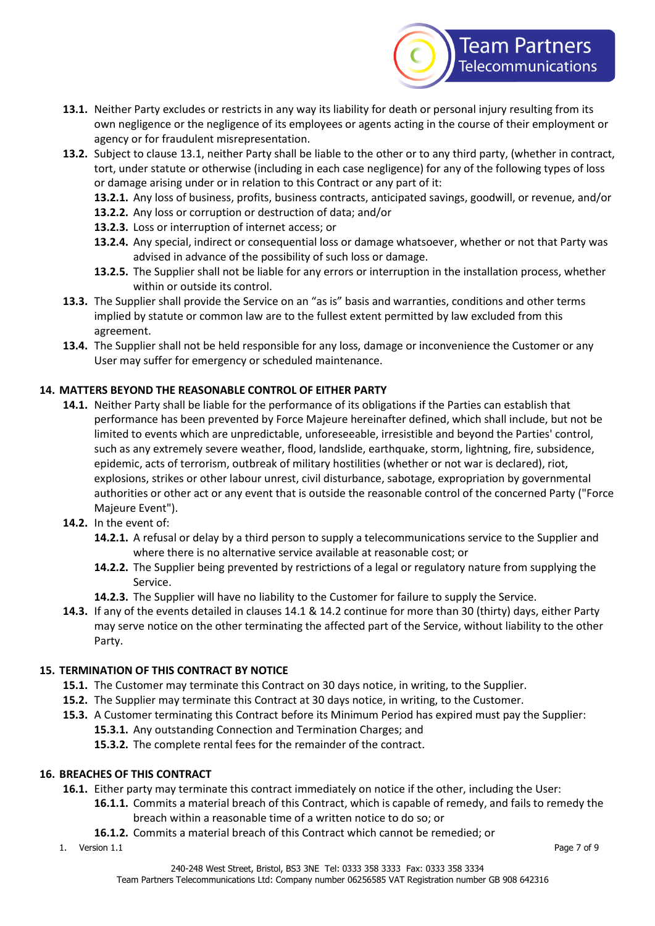

- **13.1.** Neither Party excludes or restricts in any way its liability for death or personal injury resulting from its own negligence or the negligence of its employees or agents acting in the course of their employment or agency or for fraudulent misrepresentation.
- **13.2.** Subject to clause 13.1, neither Party shall be liable to the other or to any third party, (whether in contract, tort, under statute or otherwise (including in each case negligence) for any of the following types of loss or damage arising under or in relation to this Contract or any part of it:
	- **13.2.1.** Any loss of business, profits, business contracts, anticipated savings, goodwill, or revenue, and/or
	- **13.2.2.** Any loss or corruption or destruction of data; and/or
	- **13.2.3.** Loss or interruption of internet access; or
	- **13.2.4.** Any special, indirect or consequential loss or damage whatsoever, whether or not that Party was advised in advance of the possibility of such loss or damage.
	- **13.2.5.** The Supplier shall not be liable for any errors or interruption in the installation process, whether within or outside its control.
- **13.3.** The Supplier shall provide the Service on an "as is" basis and warranties, conditions and other terms implied by statute or common law are to the fullest extent permitted by law excluded from this agreement.
- **13.4.** The Supplier shall not be held responsible for any loss, damage or inconvenience the Customer or any User may suffer for emergency or scheduled maintenance.

# **14. MATTERS BEYOND THE REASONABLE CONTROL OF EITHER PARTY**

- **14.1.** Neither Party shall be liable for the performance of its obligations if the Parties can establish that performance has been prevented by Force Majeure hereinafter defined, which shall include, but not be limited to events which are unpredictable, unforeseeable, irresistible and beyond the Parties' control, such as any extremely severe weather, flood, landslide, earthquake, storm, lightning, fire, subsidence, epidemic, acts of terrorism, outbreak of military hostilities (whether or not war is declared), riot, explosions, strikes or other labour unrest, civil disturbance, sabotage, expropriation by governmental authorities or other act or any event that is outside the reasonable control of the concerned Party ("Force Majeure Event").
- **14.2.** In the event of:
	- **14.2.1.** A refusal or delay by a third person to supply a telecommunications service to the Supplier and where there is no alternative service available at reasonable cost; or
	- **14.2.2.** The Supplier being prevented by restrictions of a legal or regulatory nature from supplying the Service.
	- **14.2.3.** The Supplier will have no liability to the Customer for failure to supply the Service.
- **14.3.** If any of the events detailed in clauses 14.1 & 14.2 continue for more than 30 (thirty) days, either Party may serve notice on the other terminating the affected part of the Service, without liability to the other Party.

# **15. TERMINATION OF THIS CONTRACT BY NOTICE**

- **15.1.** The Customer may terminate this Contract on 30 days notice, in writing, to the Supplier.
- **15.2.** The Supplier may terminate this Contract at 30 days notice, in writing, to the Customer.
- **15.3.** A Customer terminating this Contract before its Minimum Period has expired must pay the Supplier: **15.3.1.** Any outstanding Connection and Termination Charges; and
	- **15.3.2.** The complete rental fees for the remainder of the contract.

#### **16. BREACHES OF THIS CONTRACT**

- **16.1.** Either party may terminate this contract immediately on notice if the other, including the User:
	- **16.1.1.** Commits a material breach of this Contract, which is capable of remedy, and fails to remedy the breach within a reasonable time of a written notice to do so; or
	- **16.1.2.** Commits a material breach of this Contract which cannot be remedied; or
- 1. Version 1.1 Page 7 of 9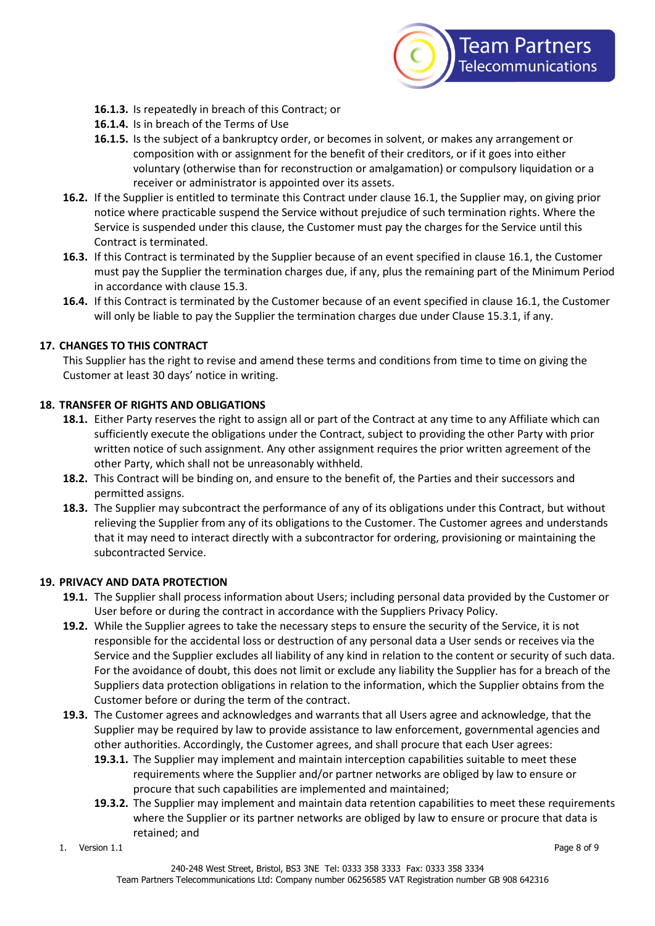

- **16.1.3.** Is repeatedly in breach of this Contract; or
- **16.1.4.** Is in breach of the Terms of Use
- **16.1.5.** Is the subject of a bankruptcy order, or becomes in solvent, or makes any arrangement or composition with or assignment for the benefit of their creditors, or if it goes into either voluntary (otherwise than for reconstruction or amalgamation) or compulsory liquidation or a receiver or administrator is appointed over its assets.
- **16.2.** If the Supplier is entitled to terminate this Contract under clause 16.1, the Supplier may, on giving prior notice where practicable suspend the Service without prejudice of such termination rights. Where the Service is suspended under this clause, the Customer must pay the charges for the Service until this Contract is terminated.
- **16.3.** If this Contract is terminated by the Supplier because of an event specified in clause 16.1, the Customer must pay the Supplier the termination charges due, if any, plus the remaining part of the Minimum Period in accordance with clause 15.3.
- **16.4.** If this Contract is terminated by the Customer because of an event specified in clause 16.1, the Customer will only be liable to pay the Supplier the termination charges due under Clause 15.3.1, if any.

#### **17. CHANGES TO THIS CONTRACT**

This Supplier has the right to revise and amend these terms and conditions from time to time on giving the Customer at least 30 days' notice in writing.

#### **18. TRANSFER OF RIGHTS AND OBLIGATIONS**

- **18.1.** Either Party reserves the right to assign all or part of the Contract at any time to any Affiliate which can sufficiently execute the obligations under the Contract, subject to providing the other Party with prior written notice of such assignment. Any other assignment requires the prior written agreement of the other Party, which shall not be unreasonably withheld.
- **18.2.** This Contract will be binding on, and ensure to the benefit of, the Parties and their successors and permitted assigns.
- **18.3.** The Supplier may subcontract the performance of any of its obligations under this Contract, but without relieving the Supplier from any of its obligations to the Customer. The Customer agrees and understands that it may need to interact directly with a subcontractor for ordering, provisioning or maintaining the subcontracted Service.

#### **19. PRIVACY AND DATA PROTECTION**

- **19.1.** The Supplier shall process information about Users; including personal data provided by the Customer or User before or during the contract in accordance with the Suppliers Privacy Policy.
- **19.2.** While the Supplier agrees to take the necessary steps to ensure the security of the Service, it is not responsible for the accidental loss or destruction of any personal data a User sends or receives via the Service and the Supplier excludes all liability of any kind in relation to the content or security of such data. For the avoidance of doubt, this does not limit or exclude any liability the Supplier has for a breach of the Suppliers data protection obligations in relation to the information, which the Supplier obtains from the Customer before or during the term of the contract.
- **19.3.** The Customer agrees and acknowledges and warrants that all Users agree and acknowledge, that the Supplier may be required by law to provide assistance to law enforcement, governmental agencies and other authorities. Accordingly, the Customer agrees, and shall procure that each User agrees:
	- **19.3.1.** The Supplier may implement and maintain interception capabilities suitable to meet these requirements where the Supplier and/or partner networks are obliged by law to ensure or procure that such capabilities are implemented and maintained;
	- **19.3.2.** The Supplier may implement and maintain data retention capabilities to meet these requirements where the Supplier or its partner networks are obliged by law to ensure or procure that data is retained; and